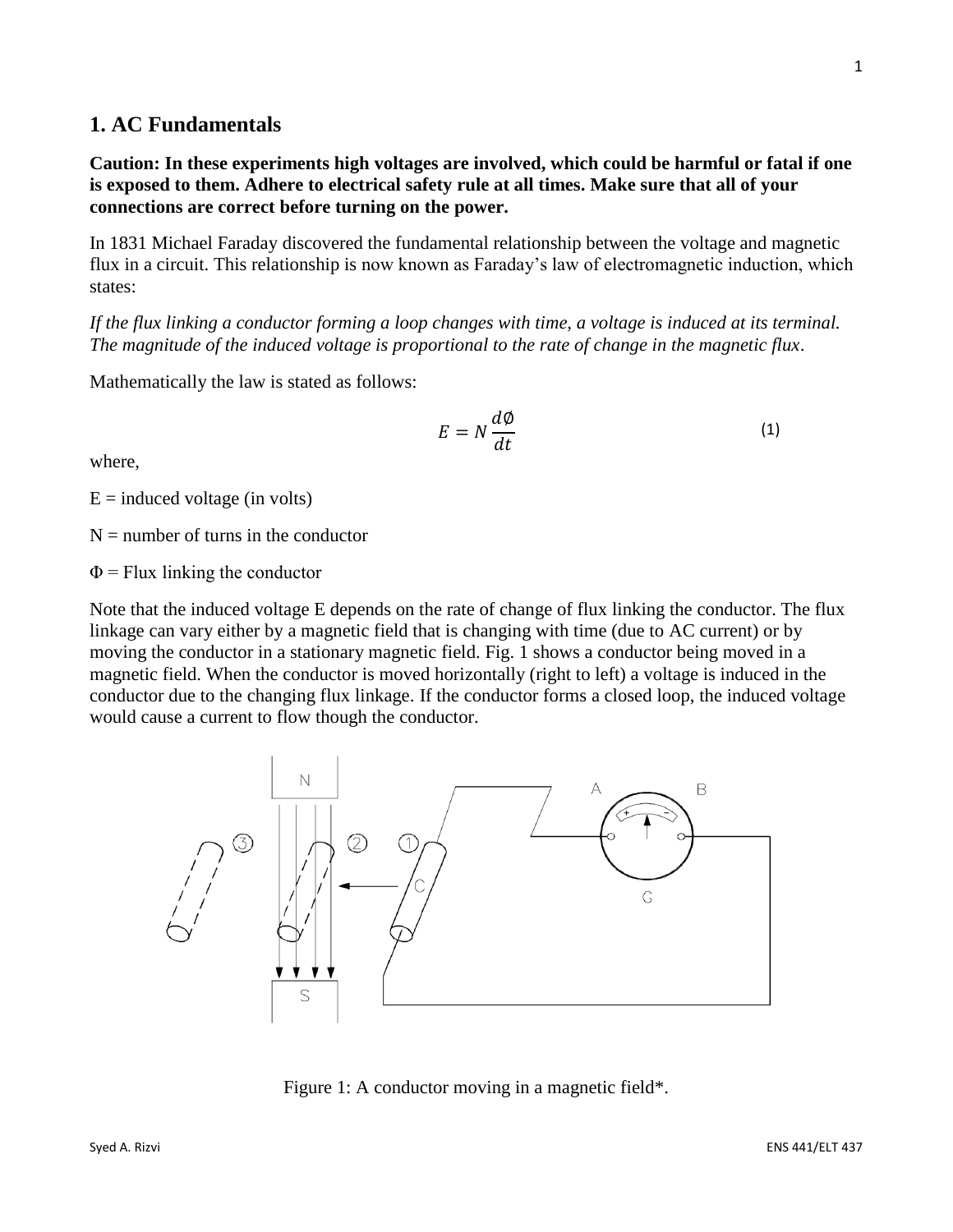# **1. AC Fundamentals**

**Caution: In these experiments high voltages are involved, which could be harmful or fatal if one is exposed to them. Adhere to electrical safety rule at all times. Make sure that all of your connections are correct before turning on the power.**

In 1831 Michael Faraday discovered the fundamental relationship between the voltage and magnetic flux in a circuit. This relationship is now known as Faraday's law of electromagnetic induction, which states:

*If the flux linking a conductor forming a loop changes with time, a voltage is induced at its terminal. The magnitude of the induced voltage is proportional to the rate of change in the magnetic flux*.

Mathematically the law is stated as follows:

 $E=N$ ∅  $dt$ (1)

where,

 $E =$  induced voltage (in volts)

 $N =$  number of turns in the conductor

 $\Phi$  = Flux linking the conductor

Note that the induced voltage E depends on the rate of change of flux linking the conductor. The flux linkage can vary either by a magnetic field that is changing with time (due to AC current) or by moving the conductor in a stationary magnetic field. Fig. 1 shows a conductor being moved in a magnetic field. When the conductor is moved horizontally (right to left) a voltage is induced in the conductor due to the changing flux linkage. If the conductor forms a closed loop, the induced voltage would cause a current to flow though the conductor.

Figure 1: A conductor moving in a magnetic field\*.



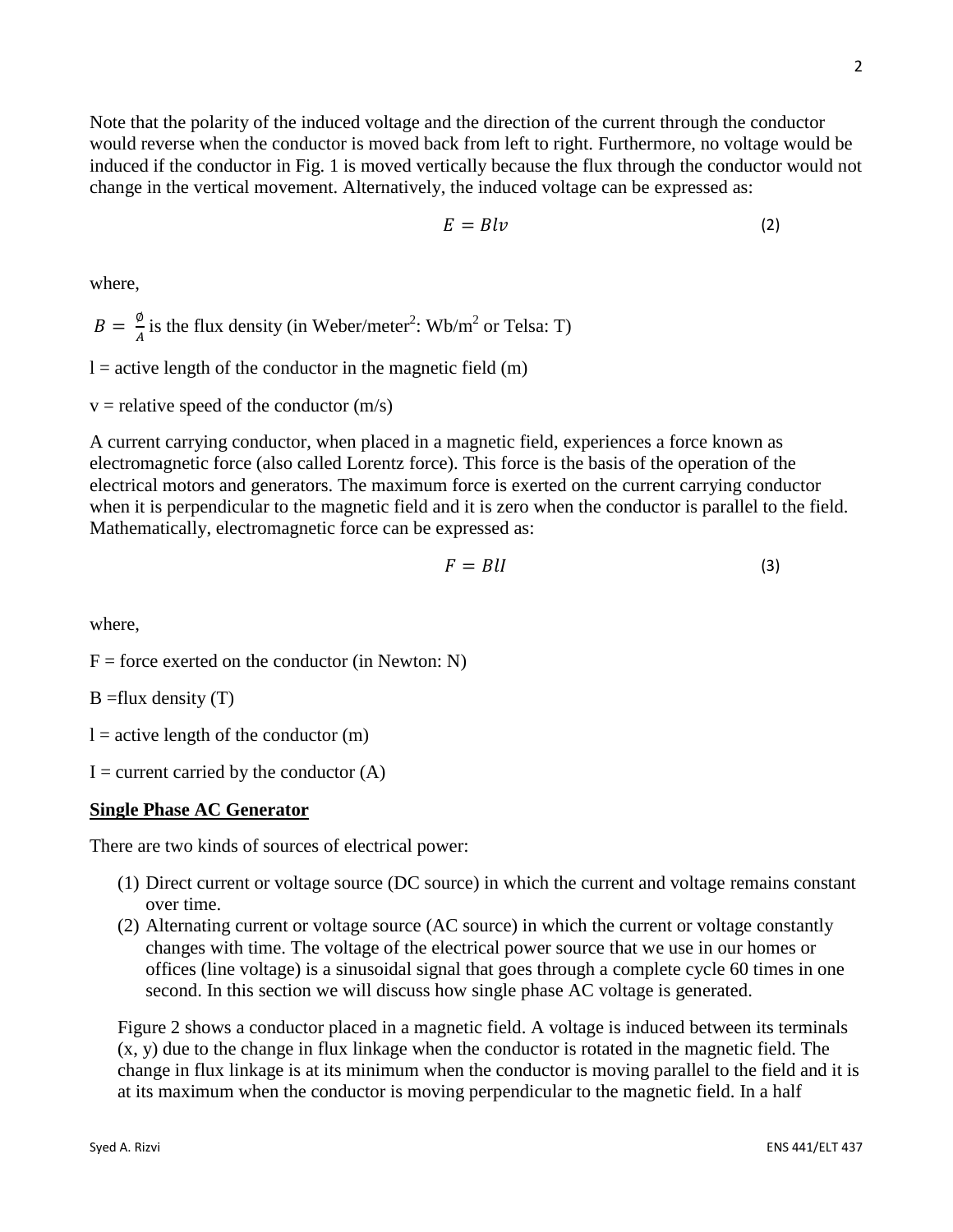Note that the polarity of the induced voltage and the direction of the current through the conductor would reverse when the conductor is moved back from left to right. Furthermore, no voltage would be induced if the conductor in Fig. 1 is moved vertically because the flux through the conductor would not change in the vertical movement. Alternatively, the induced voltage can be expressed as:

$$
E = Blv \tag{2}
$$

where,

 $B = \frac{\emptyset}{4}$  $\frac{\varphi}{A}$  is the flux density (in Weber/meter<sup>2</sup>: Wb/m<sup>2</sup> or Telsa: T)

 $l =$  active length of the conductor in the magnetic field  $(m)$ 

 $v =$  relative speed of the conductor  $(m/s)$ 

A current carrying conductor, when placed in a magnetic field, experiences a force known as electromagnetic force (also called Lorentz force). This force is the basis of the operation of the electrical motors and generators. The maximum force is exerted on the current carrying conductor when it is perpendicular to the magnetic field and it is zero when the conductor is parallel to the field. Mathematically, electromagnetic force can be expressed as:

$$
F = B l l \tag{3}
$$

where,

 $F =$  force exerted on the conductor (in Newton: N)

 $B = flux$  density  $(T)$ 

 $l =$  active length of the conductor  $(m)$ 

 $I =$  current carried by the conductor  $(A)$ 

#### **Single Phase AC Generator**

There are two kinds of sources of electrical power:

- (1) Direct current or voltage source (DC source) in which the current and voltage remains constant over time.
- (2) Alternating current or voltage source (AC source) in which the current or voltage constantly changes with time. The voltage of the electrical power source that we use in our homes or offices (line voltage) is a sinusoidal signal that goes through a complete cycle 60 times in one second. In this section we will discuss how single phase AC voltage is generated.

Figure 2 shows a conductor placed in a magnetic field. A voltage is induced between its terminals (x, y) due to the change in flux linkage when the conductor is rotated in the magnetic field. The change in flux linkage is at its minimum when the conductor is moving parallel to the field and it is at its maximum when the conductor is moving perpendicular to the magnetic field. In a half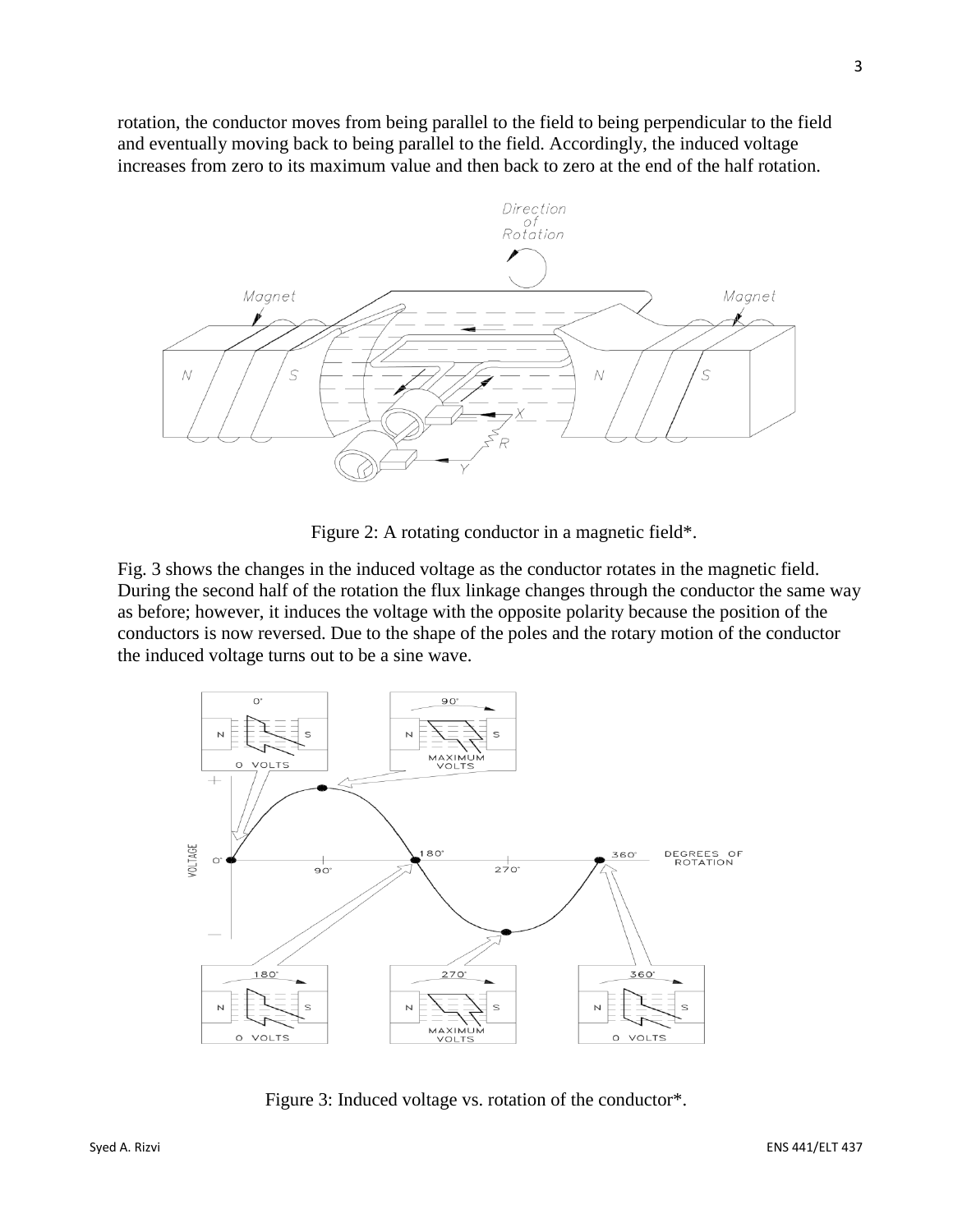rotation, the conductor moves from being parallel to the field to being perpendicular to the field and eventually moving back to being parallel to the field. Accordingly, the induced voltage increases from zero to its maximum value and then back to zero at the end of the half rotation.



Figure 2: A rotating conductor in a magnetic field\*.

Fig. 3 shows the changes in the induced voltage as the conductor rotates in the magnetic field. During the second half of the rotation the flux linkage changes through the conductor the same way as before; however, it induces the voltage with the opposite polarity because the position of the conductors is now reversed. Due to the shape of the poles and the rotary motion of the conductor the induced voltage turns out to be a sine wave.



Figure 3: Induced voltage vs. rotation of the conductor\*.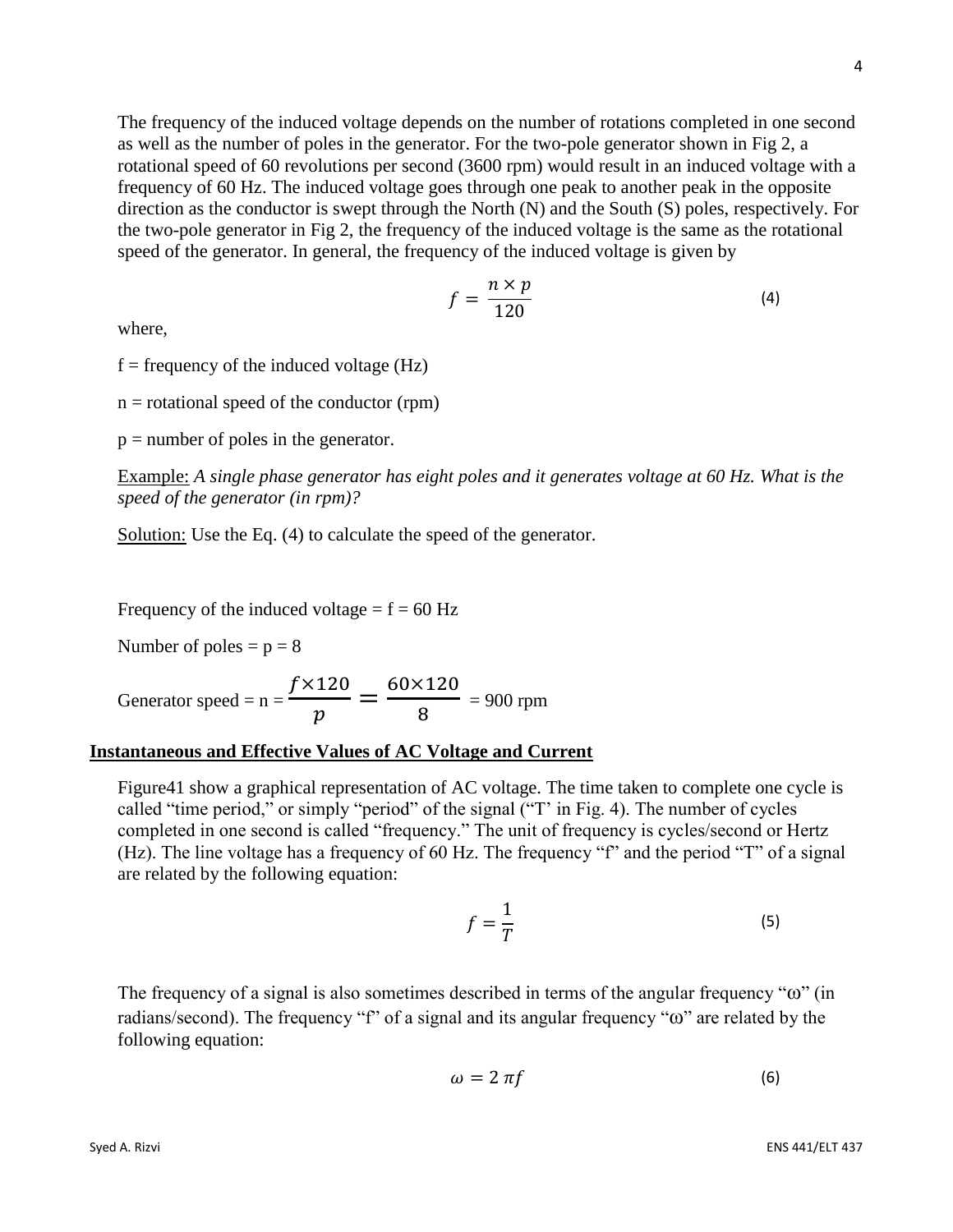The frequency of the induced voltage depends on the number of rotations completed in one second as well as the number of poles in the generator. For the two-pole generator shown in Fig 2, a rotational speed of 60 revolutions per second (3600 rpm) would result in an induced voltage with a frequency of 60 Hz. The induced voltage goes through one peak to another peak in the opposite direction as the conductor is swept through the North (N) and the South (S) poles, respectively. For the two-pole generator in Fig 2, the frequency of the induced voltage is the same as the rotational speed of the generator. In general, the frequency of the induced voltage is given by

$$
f = \frac{n \times p}{120} \tag{4}
$$

where,

 $f = \text{frequency of the induced voltage (Hz)}$ 

 $n =$  rotational speed of the conductor (rpm)

 $p =$  number of poles in the generator.

Example: *A single phase generator has eight poles and it generates voltage at 60 Hz. What is the speed of the generator (in rpm)?*

Solution: Use the Eq. (4) to calculate the speed of the generator.

Frequency of the induced voltage  $= f = 60$  Hz

Number of poles  $= p = 8$ 

Generator speed = 
$$
n = \frac{f \times 120}{p} = \frac{60 \times 120}{8} = 900
$$
 rpm

#### **Instantaneous and Effective Values of AC Voltage and Current**

Figure41 show a graphical representation of AC voltage. The time taken to complete one cycle is called "time period," or simply "period" of the signal ("T' in Fig. 4). The number of cycles completed in one second is called "frequency." The unit of frequency is cycles/second or Hertz (Hz). The line voltage has a frequency of 60 Hz. The frequency "f" and the period "T" of a signal are related by the following equation:

$$
f = \frac{1}{T} \tag{5}
$$

The frequency of a signal is also sometimes described in terms of the angular frequency "ω" (in radians/second). The frequency "f" of a signal and its angular frequency "ω" are related by the following equation:

$$
\omega = 2 \pi f \tag{6}
$$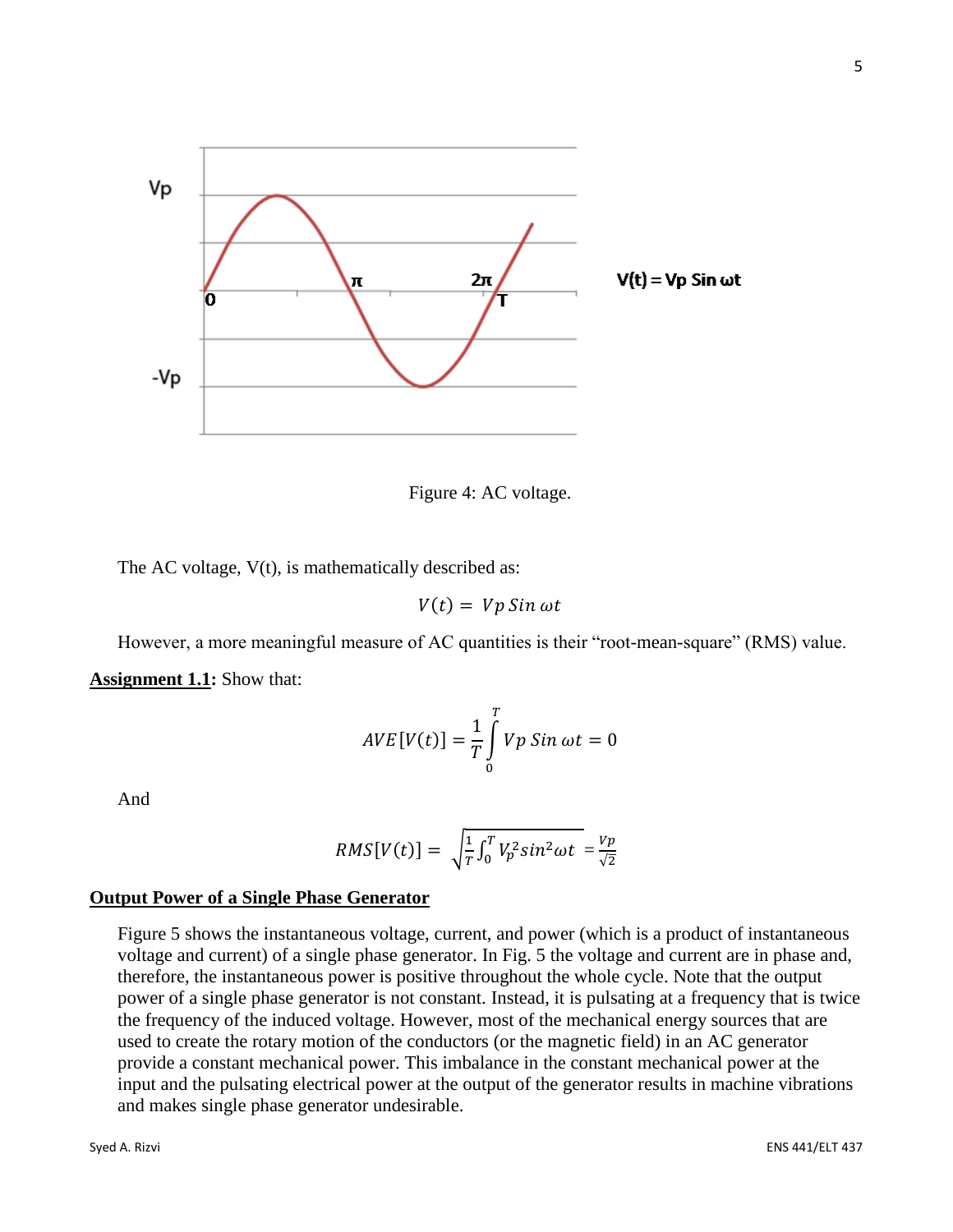

Figure 4: AC voltage.

The AC voltage,  $V(t)$ , is mathematically described as:

 $V(t) = Vp Sin \omega t$ 

However, a more meaningful measure of AC quantities is their "root-mean-square" (RMS) value. **Assignment 1.1:** Show that:

$$
AVE[V(t)] = \frac{1}{T} \int_{0}^{T} Vp\,Sin\,\omega t = 0
$$

And

$$
RMS[V(t)] = \sqrt{\frac{1}{T} \int_0^T V_p^2 sin^2 \omega t} = \frac{v_p}{\sqrt{2}}
$$

#### **Output Power of a Single Phase Generator**

Figure 5 shows the instantaneous voltage, current, and power (which is a product of instantaneous voltage and current) of a single phase generator. In Fig. 5 the voltage and current are in phase and, therefore, the instantaneous power is positive throughout the whole cycle. Note that the output power of a single phase generator is not constant. Instead, it is pulsating at a frequency that is twice the frequency of the induced voltage. However, most of the mechanical energy sources that are used to create the rotary motion of the conductors (or the magnetic field) in an AC generator provide a constant mechanical power. This imbalance in the constant mechanical power at the input and the pulsating electrical power at the output of the generator results in machine vibrations and makes single phase generator undesirable.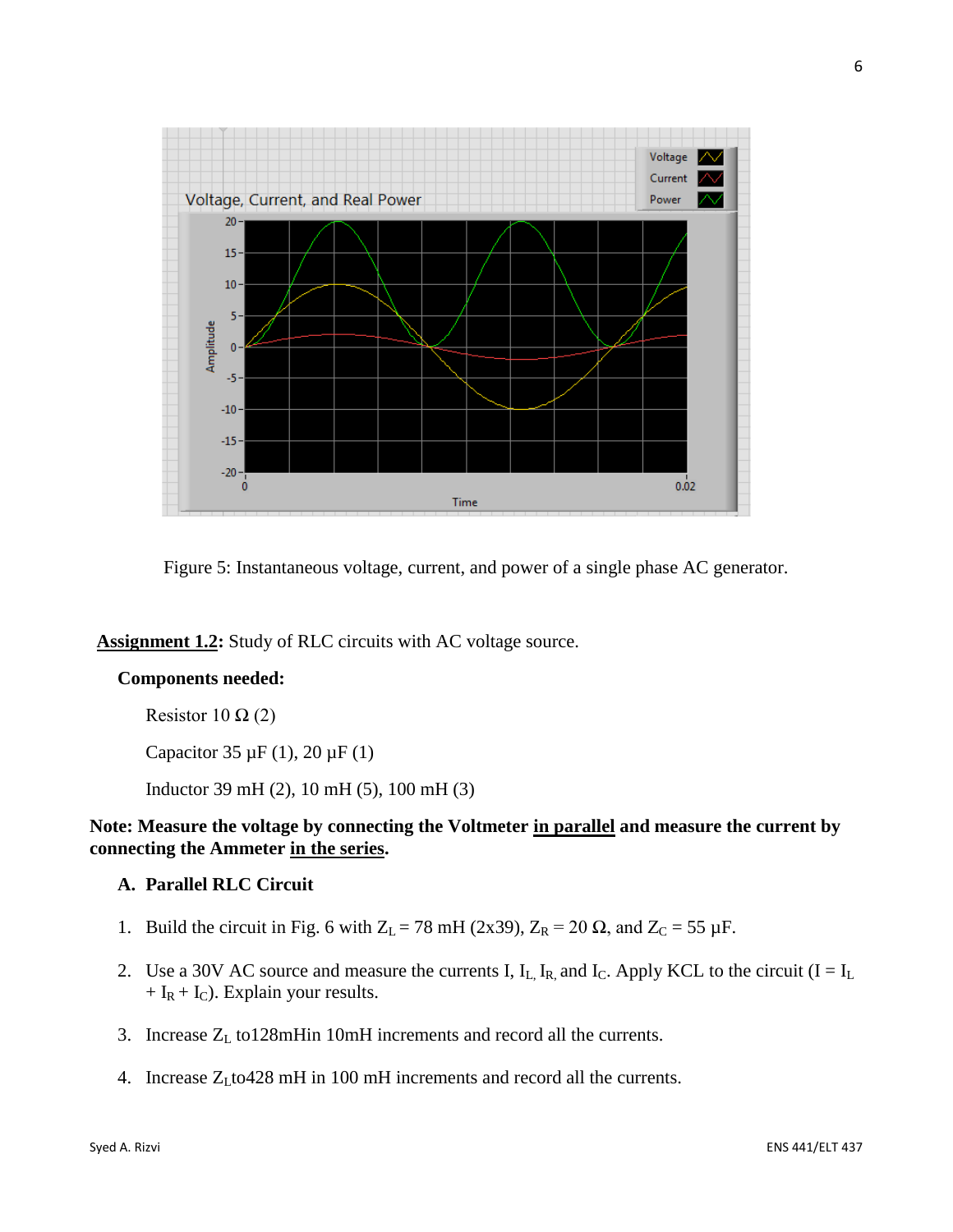

Figure 5: Instantaneous voltage, current, and power of a single phase AC generator.

**Assignment 1.2:** Study of RLC circuits with AC voltage source.

### **Components needed:**

Resistor 10  $\Omega$  (2)

Capacitor 35  $\mu$ F (1), 20  $\mu$ F (1)

Inductor 39 mH (2), 10 mH (5), 100 mH (3)

## **Note: Measure the voltage by connecting the Voltmeter in parallel and measure the current by connecting the Ammeter in the series.**

# **A. Parallel RLC Circuit**

- 1. Build the circuit in Fig. 6 with  $Z_L = 78$  mH (2x39),  $Z_R = 20 \Omega$ , and  $Z_C = 55 \mu F$ .
- 2. Use a 30V AC source and measure the currents I,  $I_L$ ,  $I_R$ , and  $I_C$ . Apply KCL to the circuit (I =  $I_L$ )  $+ I_R + I_C$ ). Explain your results.
- 3. Increase Z<sub>L</sub> to128mHin 10mH increments and record all the currents.
- 4. Increase  $Z_L$  to 428 mH in 100 mH increments and record all the currents.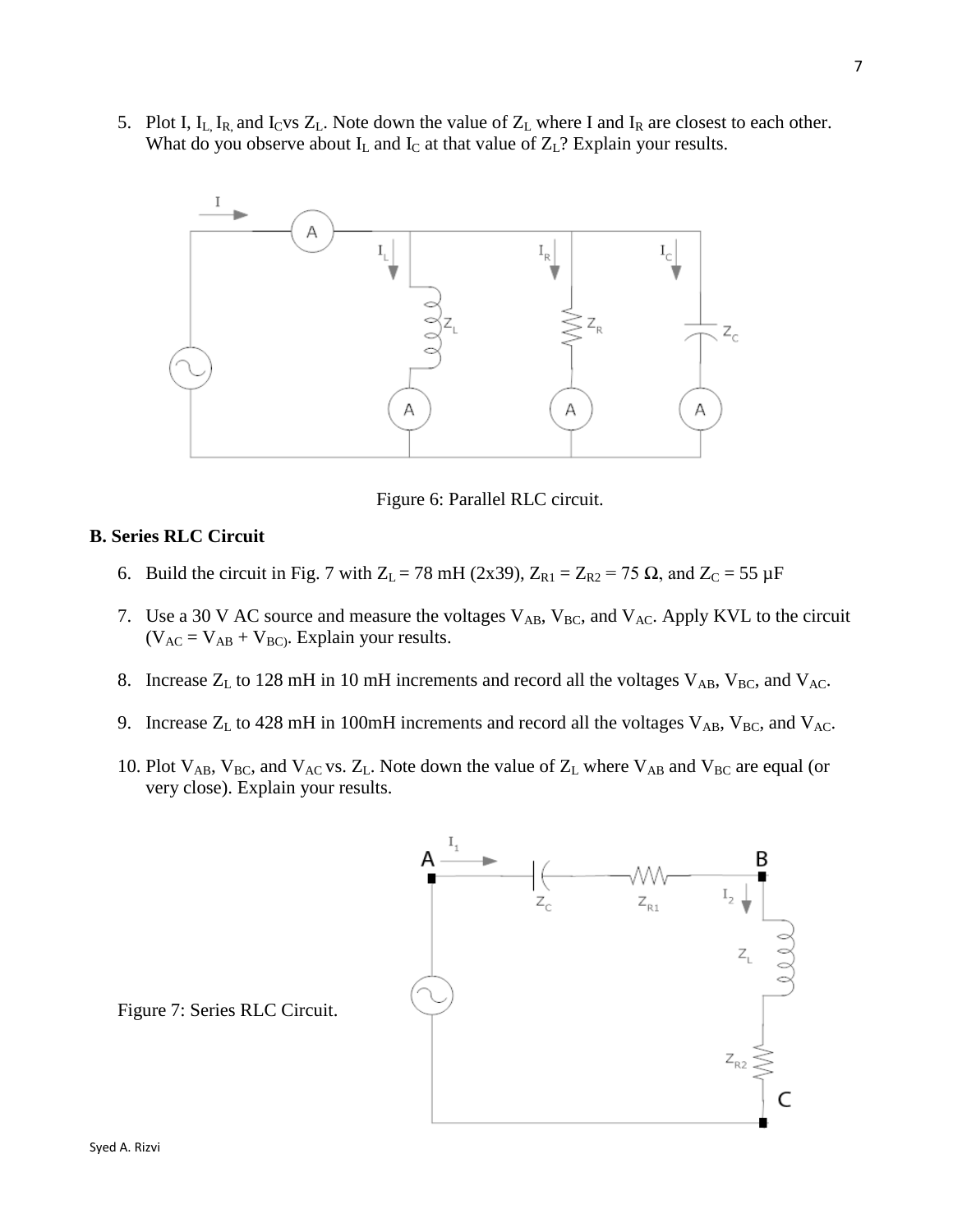5. Plot I,  $I_L$ ,  $I_R$ , and  $I_C$ vs  $Z_L$ . Note down the value of  $Z_L$  where I and  $I_R$  are closest to each other. What do you observe about  $I_L$  and  $I_C$  at that value of  $Z_L$ ? Explain your results.



Figure 6: Parallel RLC circuit.

## **B. Series RLC Circuit**

- 6. Build the circuit in Fig. 7 with  $Z_L = 78$  mH (2x39),  $Z_{R1} = Z_{R2} = 75 \Omega$ , and  $Z_C = 55 \mu$ F
- 7. Use a 30 V AC source and measure the voltages  $V_{AB}$ ,  $V_{BC}$ , and  $V_{AC}$ . Apply KVL to the circuit  $(V_{AC} = V_{AB} + V_{BC}$ . Explain your results.
- 8. Increase  $Z_L$  to 128 mH in 10 mH increments and record all the voltages  $V_{AB}$ ,  $V_{BC}$ , and  $V_{AC}$ .
- 9. Increase  $Z_L$  to 428 mH in 100mH increments and record all the voltages  $V_{AB}$ ,  $V_{BC}$ , and  $V_{AC}$ .
- 10. Plot  $V_{AB}$ ,  $V_{BC}$ , and  $V_{AC}$  vs.  $Z_L$ . Note down the value of  $Z_L$  where  $V_{AB}$  and  $V_{BC}$  are equal (or very close). Explain your results.



Figure 7: Series RLC Circuit.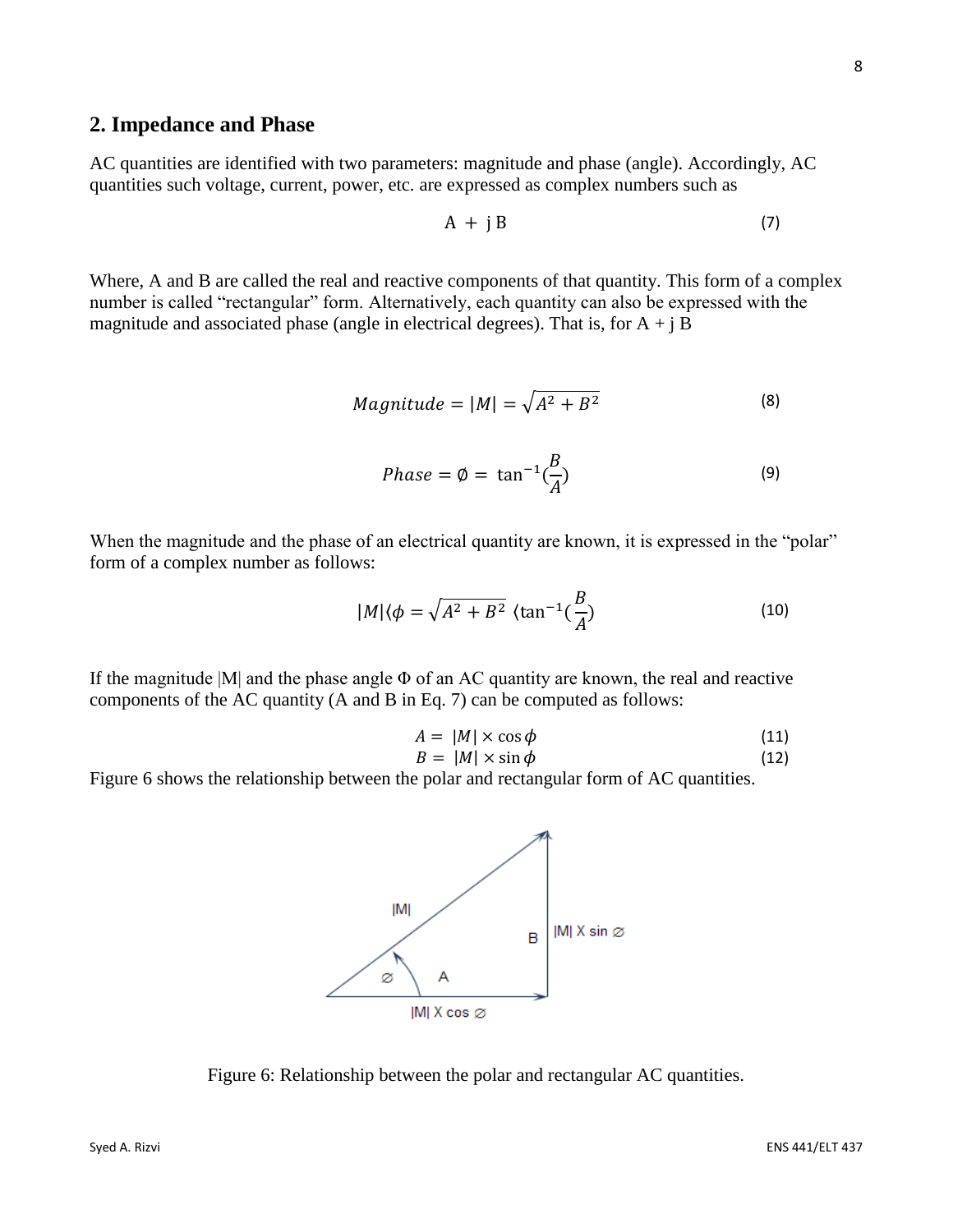## **2. Impedance and Phase**

AC quantities are identified with two parameters: magnitude and phase (angle). Accordingly, AC quantities such voltage, current, power, etc. are expressed as complex numbers such as

$$
A + j B \tag{7}
$$

Where, A and B are called the real and reactive components of that quantity. This form of a complex number is called "rectangular" form. Alternatively, each quantity can also be expressed with the magnitude and associated phase (angle in electrical degrees). That is, for  $A + jB$ 

$$
Magnitude = |M| = \sqrt{A^2 + B^2}
$$
 (8)

$$
Phase = \emptyset = \tan^{-1}(\frac{B}{A})
$$
\n(9)

When the magnitude and the phase of an electrical quantity are known, it is expressed in the "polar" form of a complex number as follows:

$$
|M|\langle \phi = \sqrt{A^2 + B^2} \, \langle \tan^{-1}(\frac{B}{A}) \tag{10}
$$

If the magnitude  $|M|$  and the phase angle  $\Phi$  of an AC quantity are known, the real and reactive components of the AC quantity (A and B in Eq. 7) can be computed as follows:

$$
A = |M| \times \cos \phi \tag{11}
$$

$$
B = |M| \times \sin \phi \tag{12}
$$

Figure 6 shows the relationship between the polar and rectangular form of AC quantities.

Figure 6: Relationship between the polar and rectangular AC quantities.

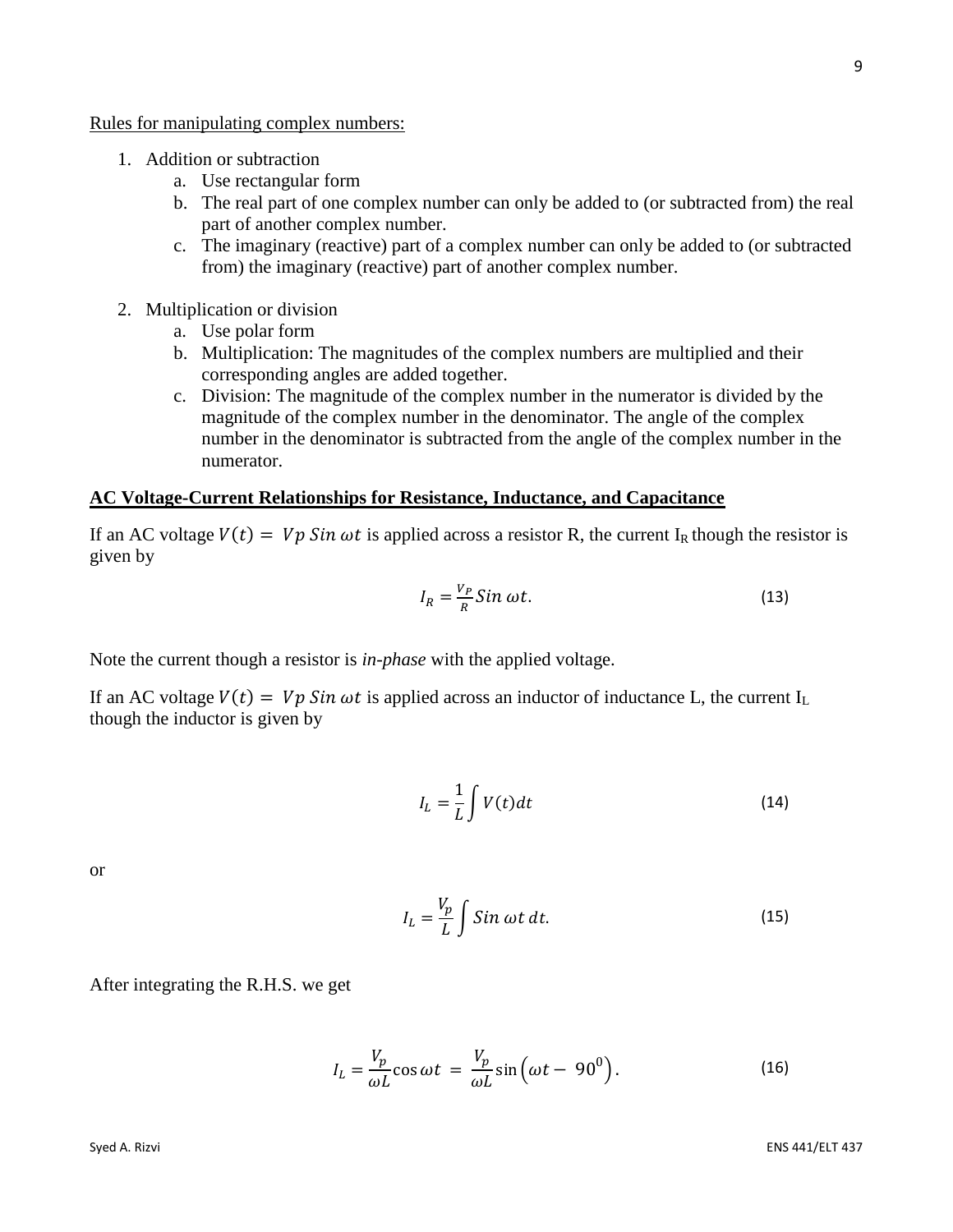Rules for manipulating complex numbers:

- 1. Addition or subtraction
	- a. Use rectangular form
	- b. The real part of one complex number can only be added to (or subtracted from) the real part of another complex number.
	- c. The imaginary (reactive) part of a complex number can only be added to (or subtracted from) the imaginary (reactive) part of another complex number.
- 2. Multiplication or division
	- a. Use polar form
	- b. Multiplication: The magnitudes of the complex numbers are multiplied and their corresponding angles are added together.
	- c. Division: The magnitude of the complex number in the numerator is divided by the magnitude of the complex number in the denominator. The angle of the complex number in the denominator is subtracted from the angle of the complex number in the numerator.

#### **AC Voltage-Current Relationships for Resistance, Inductance, and Capacitance**

If an AC voltage  $V(t) = Vp \sin \omega t$  is applied across a resistor R, the current I<sub>R</sub> though the resistor is given by

$$
I_R = \frac{V_P}{R} \sin \omega t. \tag{13}
$$

Note the current though a resistor is *in-phase* with the applied voltage.

If an AC voltage  $V(t) = Vp \sin \omega t$  is applied across an inductor of inductance L, the current I<sub>L</sub> though the inductor is given by

$$
I_L = \frac{1}{L} \int V(t) dt
$$
 (14)

or

$$
I_L = \frac{V_p}{L} \int \sin \omega t \, dt. \tag{15}
$$

After integrating the R.H.S. we get

$$
I_L = \frac{V_p}{\omega L} \cos \omega t = \frac{V_p}{\omega L} \sin \left(\omega t - 90^0\right).
$$
 (16)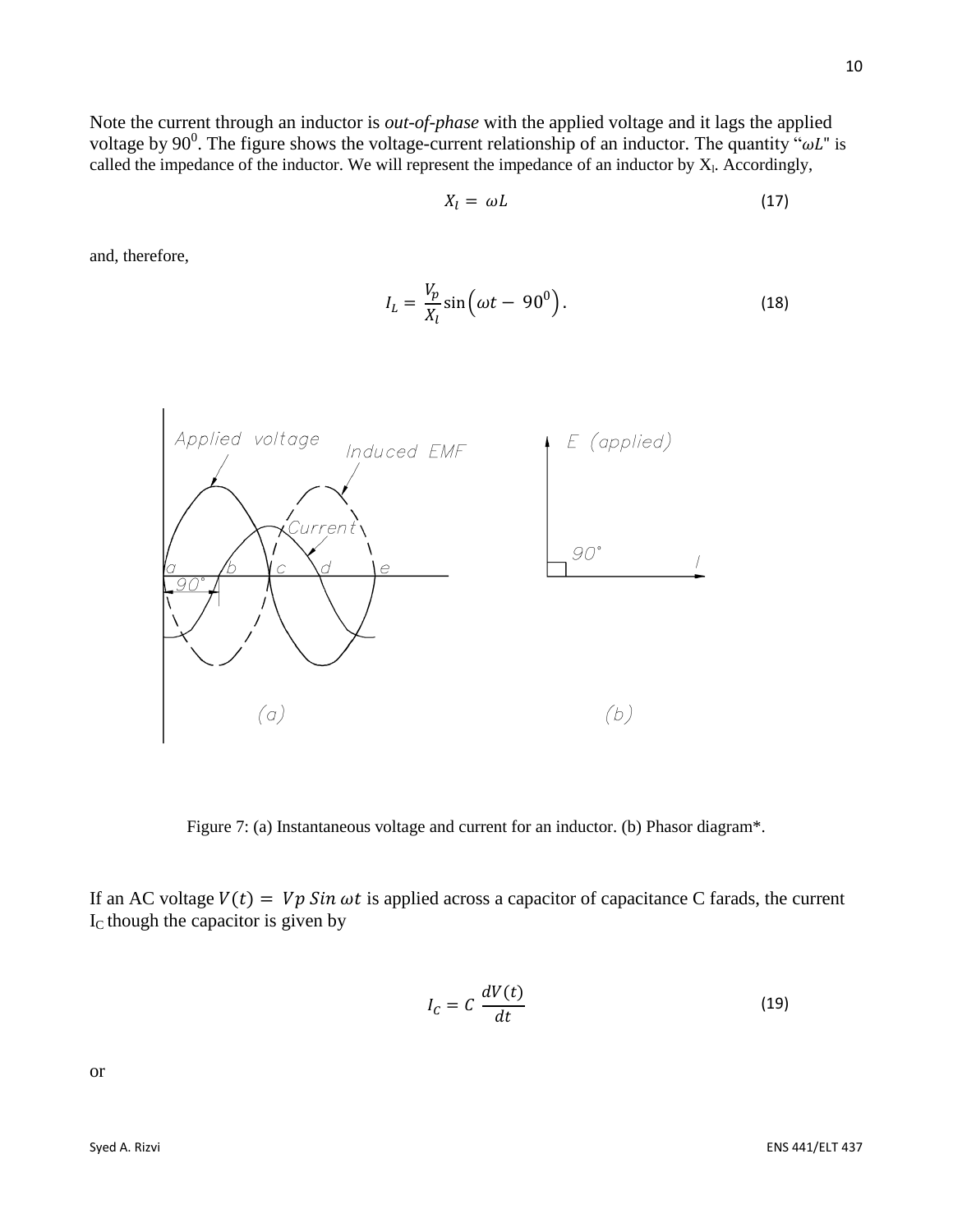Note the current through an inductor is *out-of-phase* with the applied voltage and it lags the applied voltage by 90<sup>0</sup>. The figure shows the voltage-current relationship of an inductor. The quantity " $\omega L$ " is called the impedance of the inductor. We will represent the impedance of an inductor by  $X<sub>1</sub>$ . Accordingly,

$$
X_l = \omega L \tag{17}
$$

and, therefore,

$$
I_L = \frac{V_p}{X_l} \sin \left(\omega t - 90^0\right). \tag{18}
$$



Figure 7: (a) Instantaneous voltage and current for an inductor. (b) Phasor diagram\*.

If an AC voltage  $V(t) = Vp \sin \omega t$  is applied across a capacitor of capacitance C farads, the current  $I_c$  though the capacitor is given by

$$
I_C = C \frac{dV(t)}{dt}
$$
 (19)

or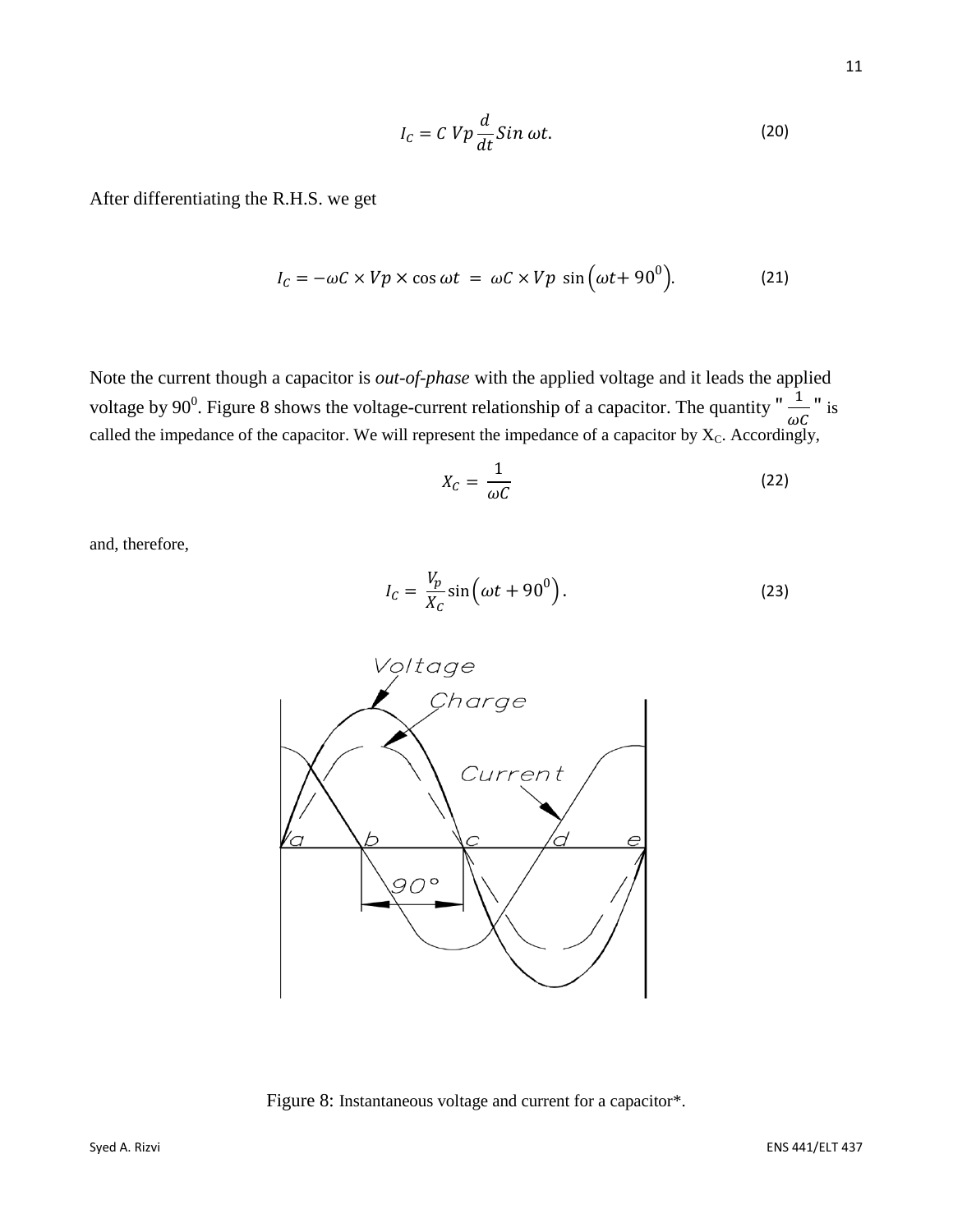$$
I_c = C V p \frac{d}{dt} Sin \omega t.
$$
 (20)

After differentiating the R.H.S. we get

$$
I_C = -\omega C \times Vp \times \cos \omega t = \omega C \times Vp \sin(\omega t + 90^\circ). \tag{21}
$$

Note the current though a capacitor is *out-of-phase* with the applied voltage and it leads the applied voltage by 90<sup>0</sup>. Figure 8 shows the voltage-current relationship of a capacitor. The quantity " $\frac{1}{\sqrt{1}}$  $\frac{1}{\omega C}$ " is called the impedance of the capacitor. We will represent the impedance of a capacitor by  $X_c$ . Accordingly,

$$
X_C = \frac{1}{\omega C} \tag{22}
$$

and, therefore,

$$
I_C = \frac{V_p}{X_C} \sin\left(\omega t + 90^0\right). \tag{23}
$$



Figure 8: Instantaneous voltage and current for a capacitor\*.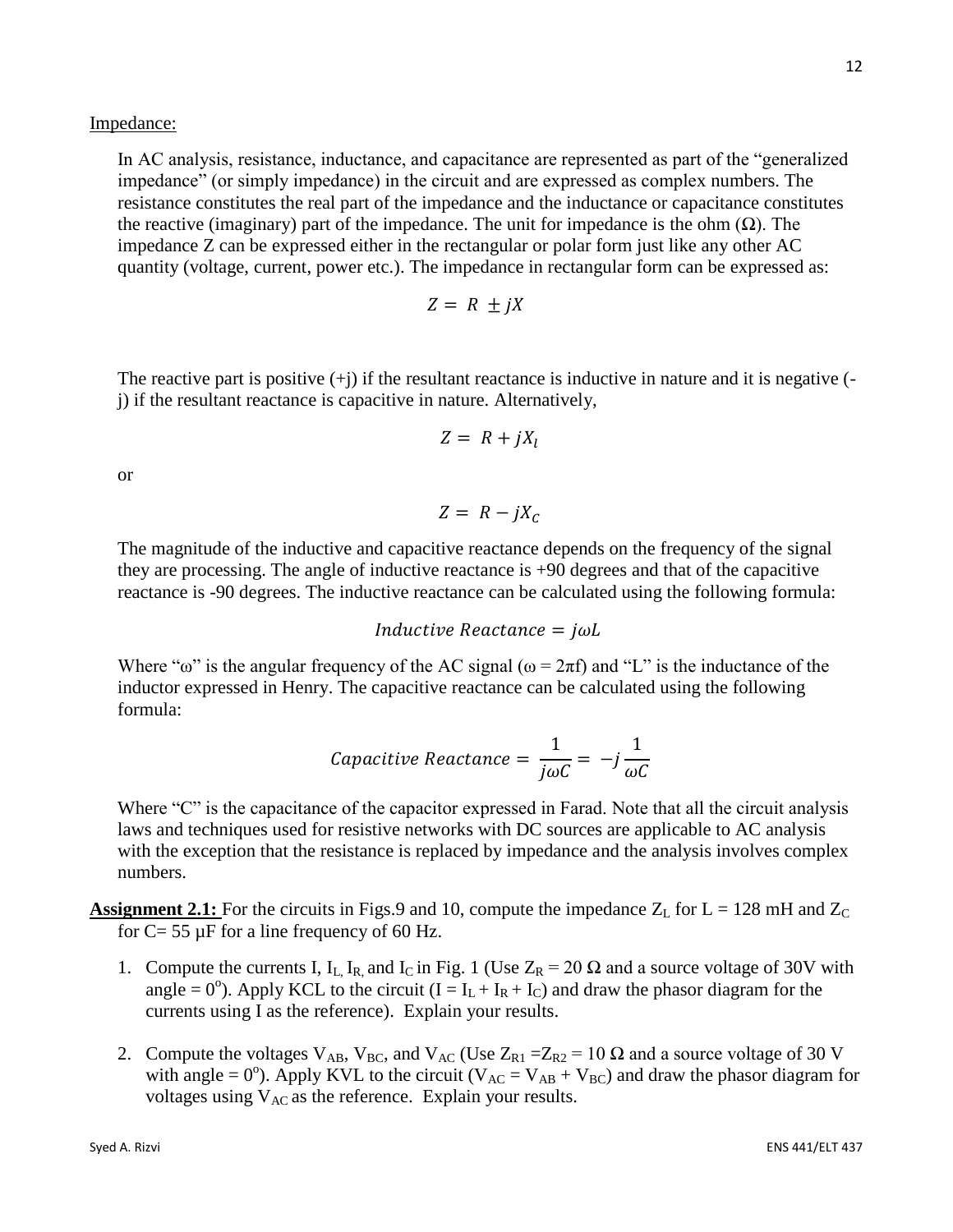Impedance:

In AC analysis, resistance, inductance, and capacitance are represented as part of the "generalized impedance" (or simply impedance) in the circuit and are expressed as complex numbers. The resistance constitutes the real part of the impedance and the inductance or capacitance constitutes the reactive (imaginary) part of the impedance. The unit for impedance is the ohm  $(\Omega)$ . The impedance Z can be expressed either in the rectangular or polar form just like any other AC quantity (voltage, current, power etc.). The impedance in rectangular form can be expressed as:

$$
Z = R \pm jX
$$

The reactive part is positive  $(+j)$  if the resultant reactance is inductive in nature and it is negative  $(-1)$ j) if the resultant reactance is capacitive in nature. Alternatively,

$$
Z = R + jX_l
$$

or

 $Z = R - iX_c$ 

The magnitude of the inductive and capacitive reactance depends on the frequency of the signal they are processing. The angle of inductive reactance is +90 degrees and that of the capacitive reactance is -90 degrees. The inductive reactance can be calculated using the following formula:

*Inductive Reactance =*  $j\omega L$ 

Where " $\omega$ " is the angular frequency of the AC signal ( $\omega = 2\pi f$ ) and "L" is the inductance of the inductor expressed in Henry. The capacitive reactance can be calculated using the following formula:

*Capacitive Reactance* = 
$$
\frac{1}{j\omega C}
$$
 =  $-j\frac{1}{\omega C}$ 

Where "C" is the capacitance of the capacitor expressed in Farad. Note that all the circuit analysis laws and techniques used for resistive networks with DC sources are applicable to AC analysis with the exception that the resistance is replaced by impedance and the analysis involves complex numbers.

**Assignment 2.1:** For the circuits in Figs.9 and 10, compute the impedance  $Z_L$  for  $L = 128$  mH and  $Z_C$ for  $C = 55 \mu$ F for a line frequency of 60 Hz.

- 1. Compute the currents I, I<sub>L, I<sub>R</sub>, and I<sub>C</sub> in Fig. 1 (Use  $Z_R = 20 \Omega$  and a source voltage of 30V with</sub> angle = 0°). Apply KCL to the circuit  $(I = I_L + I_R + I_C)$  and draw the phasor diagram for the currents using I as the reference). Explain your results.
- 2. Compute the voltages  $V_{AB}$ ,  $V_{BC}$ , and  $V_{AC}$  (Use  $Z_{R1} = Z_{R2} = 10 \Omega$  and a source voltage of 30 V with angle =  $0^{\circ}$ ). Apply KVL to the circuit (V<sub>AC</sub> = V<sub>AB</sub> + V<sub>BC</sub>) and draw the phasor diagram for voltages using  $V_{AC}$  as the reference. Explain your results.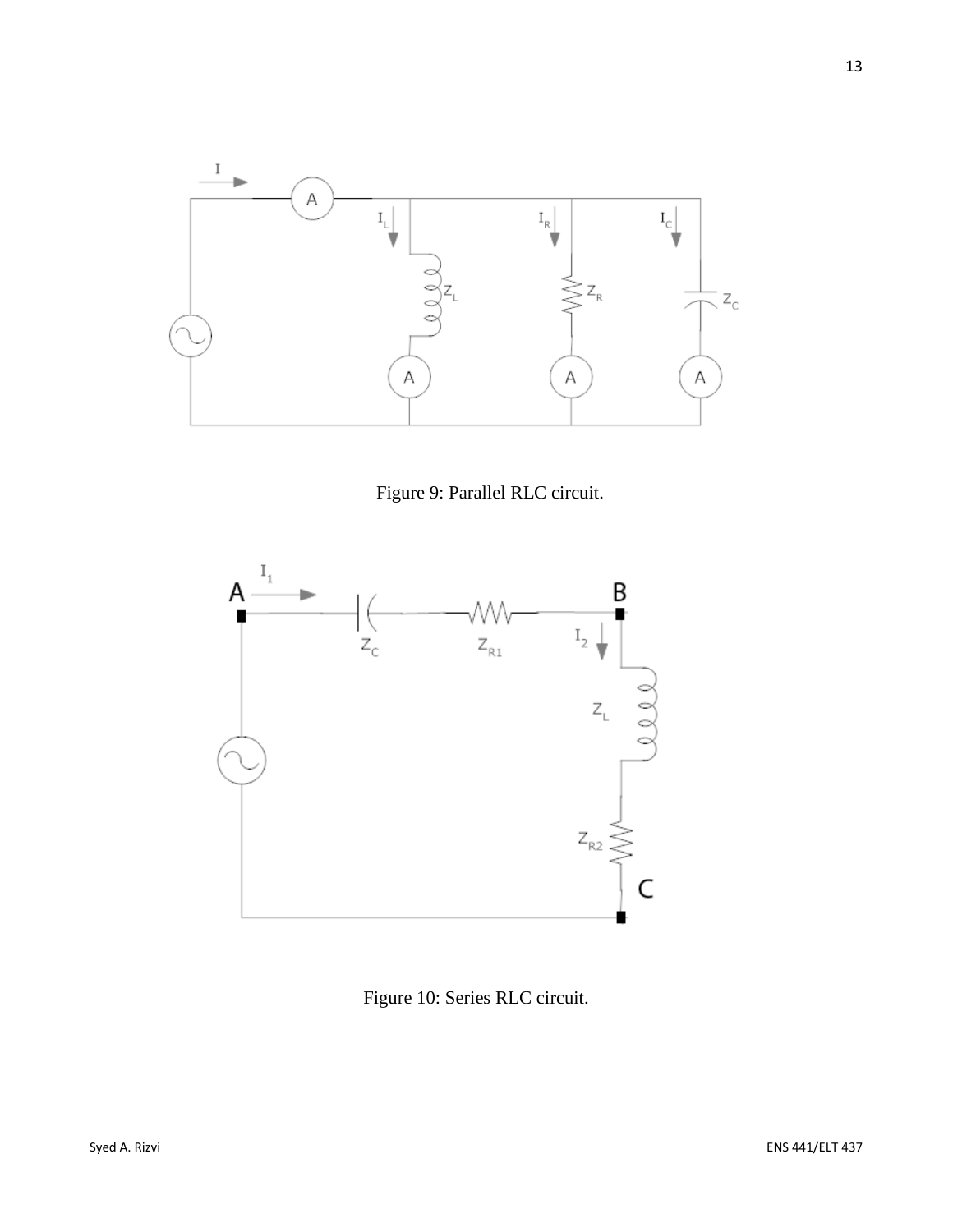

Figure 9: Parallel RLC circuit.



Figure 10: Series RLC circuit.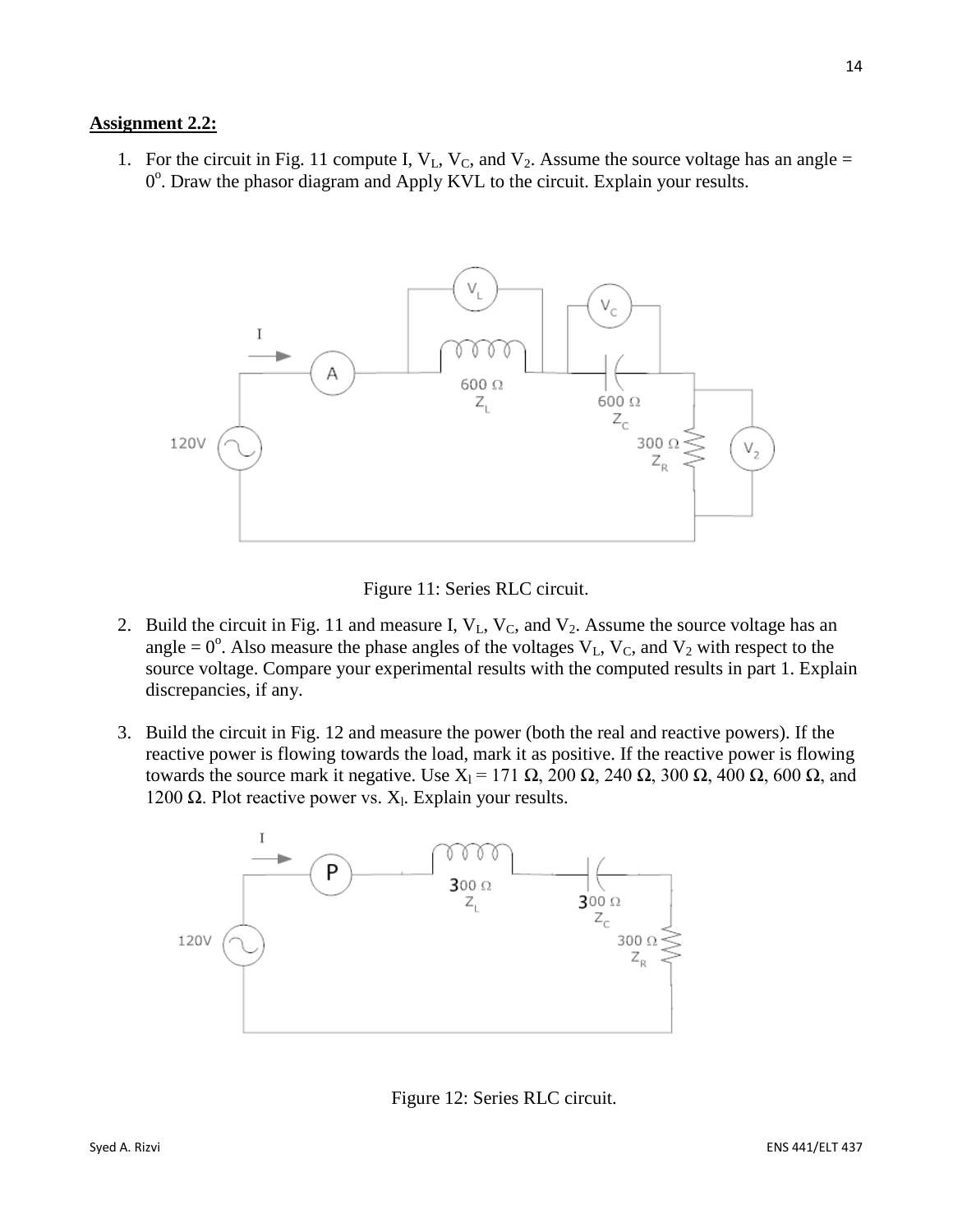## **Assignment 2.2:**

1. For the circuit in Fig. 11 compute I,  $V_L$ ,  $V_C$ , and  $V_2$ . Assume the source voltage has an angle = 0°. Draw the phasor diagram and Apply KVL to the circuit. Explain your results.



Figure 11: Series RLC circuit.

- 2. Build the circuit in Fig. 11 and measure I,  $V_L$ ,  $V_C$ , and  $V_2$ . Assume the source voltage has an angle =  $0^\circ$ . Also measure the phase angles of the voltages  $V_L$ ,  $V_C$ , and  $V_2$  with respect to the source voltage. Compare your experimental results with the computed results in part 1. Explain discrepancies, if any.
- 3. Build the circuit in Fig. 12 and measure the power (both the real and reactive powers). If the reactive power is flowing towards the load, mark it as positive. If the reactive power is flowing towards the source mark it negative. Use  $X_1 = 171 \Omega$ , 200 Ω, 240 Ω, 300 Ω, 400 Ω, 600 Ω, and 1200 Ω. Plot reactive power vs.  $X_1$ . Explain your results.



Figure 12: Series RLC circuit.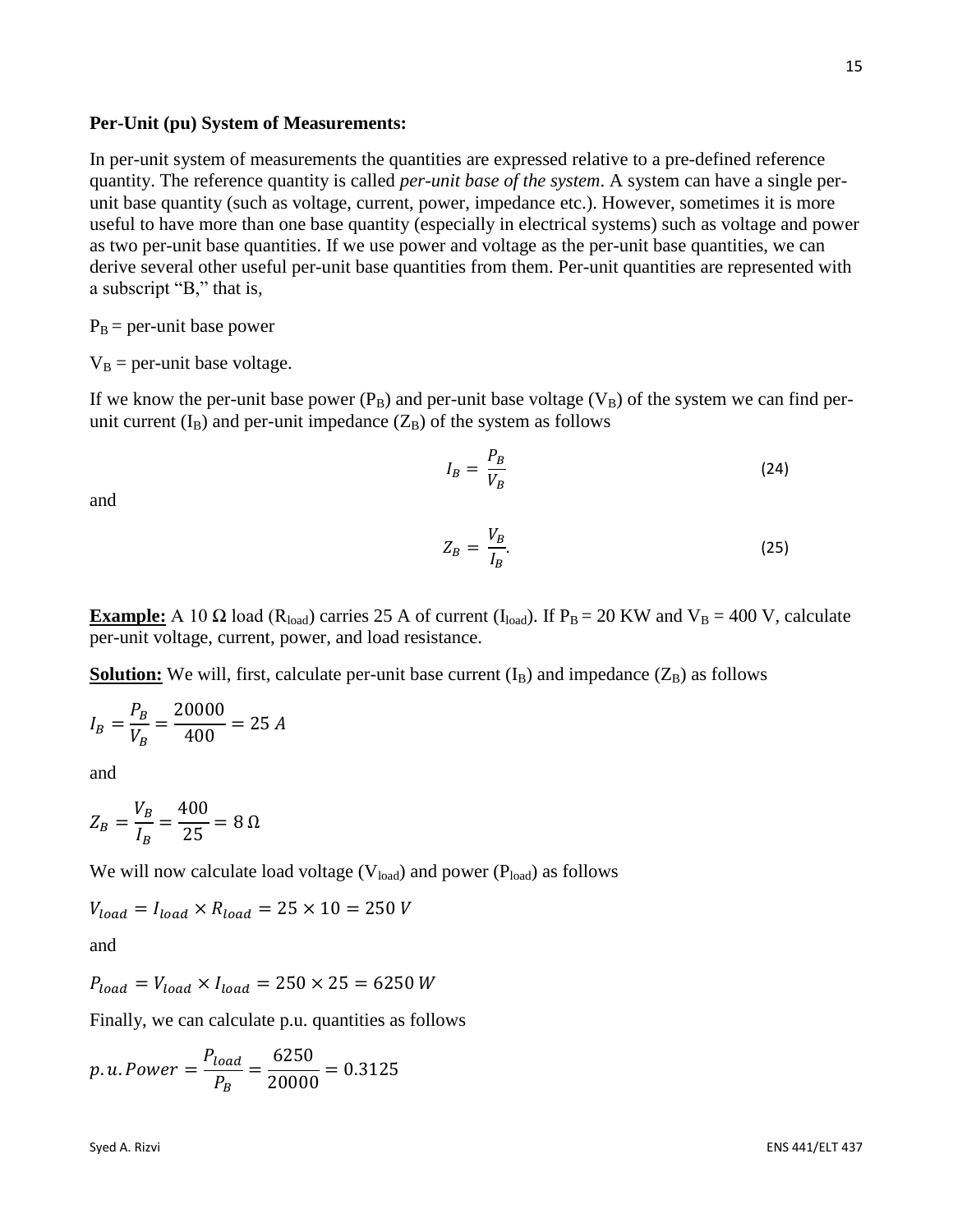**Per-Unit (pu) System of Measurements:**

In per-unit system of measurements the quantities are expressed relative to a pre-defined reference quantity. The reference quantity is called *per-unit base of the system*. A system can have a single perunit base quantity (such as voltage, current, power, impedance etc.). However, sometimes it is more useful to have more than one base quantity (especially in electrical systems) such as voltage and power as two per-unit base quantities. If we use power and voltage as the per-unit base quantities, we can derive several other useful per-unit base quantities from them. Per-unit quantities are represented with a subscript "B," that is,

 $P_B$  = per-unit base power

 $V_B$  = per-unit base voltage.

If we know the per-unit base power  $(P_B)$  and per-unit base voltage  $(V_B)$  of the system we can find perunit current  $(I_B)$  and per-unit impedance  $(Z_B)$  of the system as follows

$$
I_B = \frac{P_B}{V_B} \tag{24}
$$

and

$$
Z_B = \frac{V_B}{I_B}.\tag{25}
$$

**Example:** A 10  $\Omega$  load (R<sub>load</sub>) carries 25 A of current (I<sub>load</sub>). If P<sub>B</sub> = 20 KW and V<sub>B</sub> = 400 V, calculate per-unit voltage, current, power, and load resistance.

**<u>Solution:</u>** We will, first, calculate per-unit base current  $(I_B)$  and impedance  $(Z_B)$  as follows

$$
I_B = \frac{P_B}{V_B} = \frac{20000}{400} = 25 A
$$

and

$$
Z_B = \frac{V_B}{I_B} = \frac{400}{25} = 8 \,\Omega
$$

We will now calculate load voltage  $(V_{load})$  and power  $(P_{load})$  as follows

$$
V_{load} = I_{load} \times R_{load} = 25 \times 10 = 250 V
$$
  
and

$$
P_{load} = V_{load} \times I_{load} = 250 \times 25 = 6250 W
$$

Finally, we can calculate p.u. quantities as follows

$$
p.u. Power = \frac{P_{load}}{P_B} = \frac{6250}{20000} = 0.3125
$$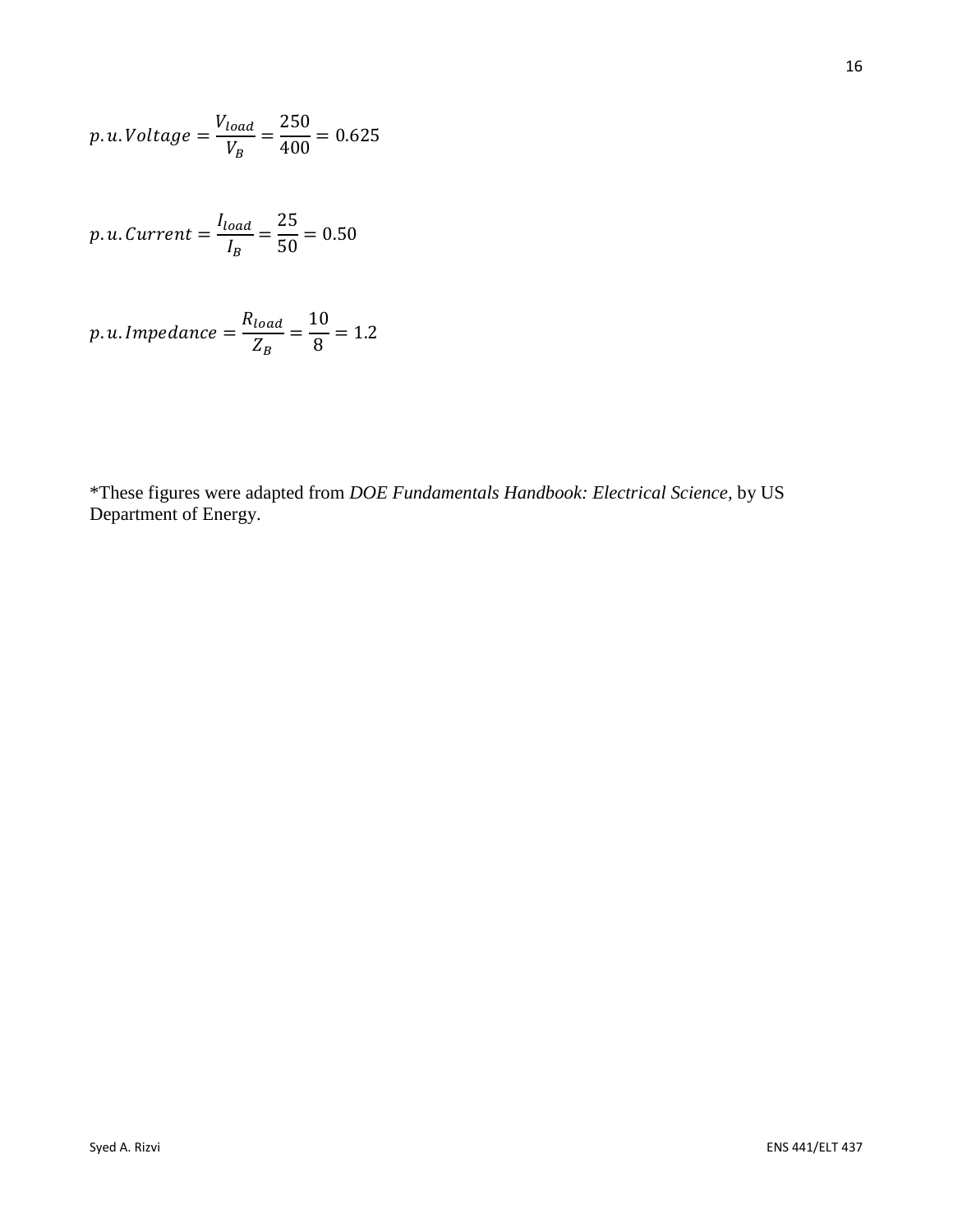$$
p.u. Voltage = \frac{V_{load}}{V_B} = \frac{250}{400} = 0.625
$$

$$
p.u. Current = \frac{I_{load}}{I_B} = \frac{25}{50} = 0.50
$$

$$
p.u. Impedance = \frac{R_{load}}{Z_B} = \frac{10}{8} = 1.2
$$

\*These figures were adapted from *DOE Fundamentals Handbook: Electrical Science,* by US Department of Energy.